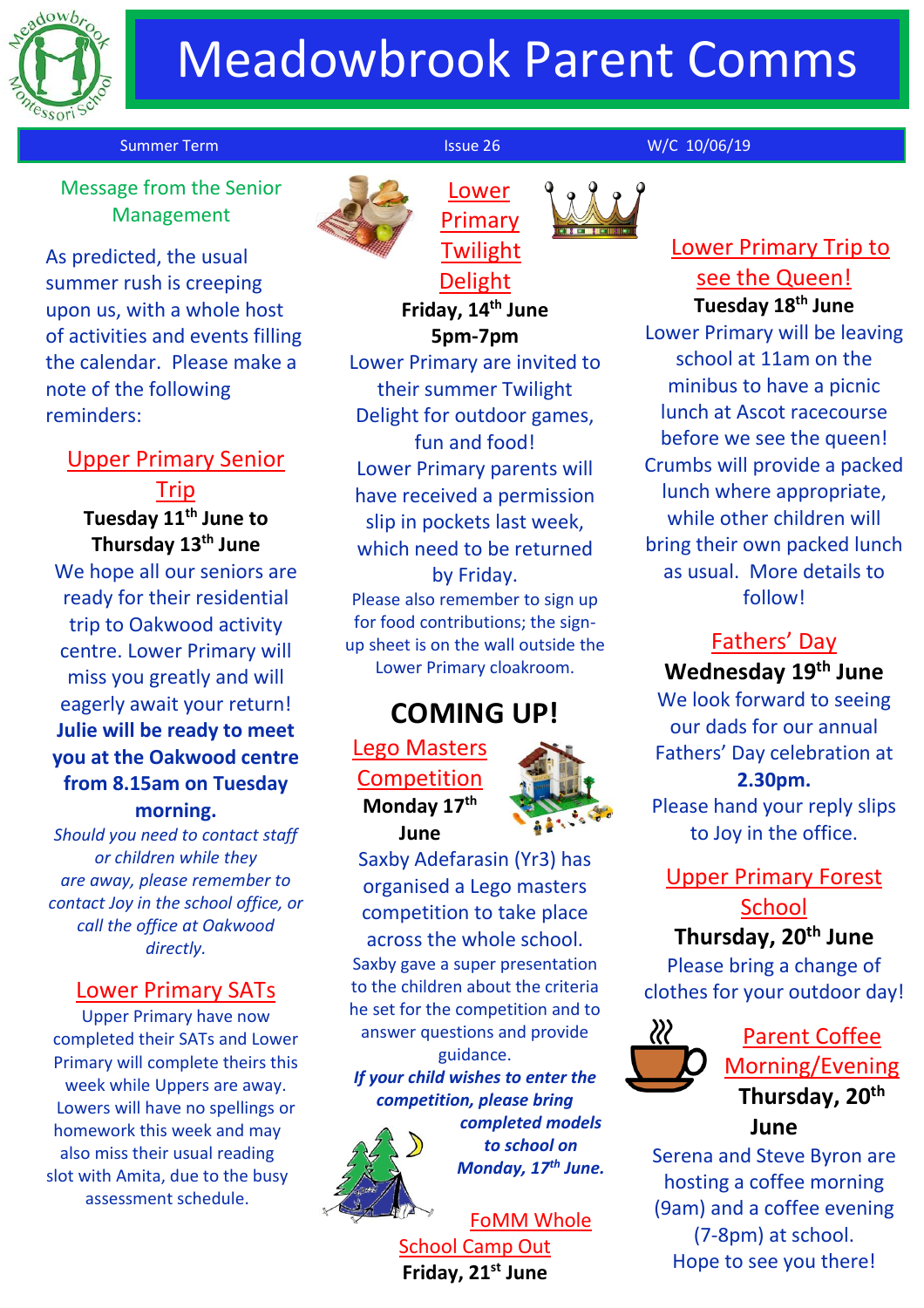

# Meadowbrook Parent Comms

#### Summer Term Issue 26 W/C 10/06/19

Lower Primary

 Message from the Senior Management

As predicted, the usual summer rush is creeping upon us, with a whole host of activities and events filling the calendar. Please make a note of the following reminders:

#### Upper Primary Senior

Trip **Tuesday 11th June to Thursday 13th June** We hope all our seniors are ready for their residential trip to Oakwood activity centre. Lower Primary will miss you greatly and will eagerly await your return! **Julie will be ready to meet you at the Oakwood centre from 8.15am on Tuesday morning.**

*Should you need to contact staff or children while they are away, please remember to contact Joy in the school office, or call the office at Oakwood directly.*

#### Lower Primary SATs

Upper Primary have now completed their SATs and Lower Primary will complete theirs this week while Uppers are away. Lowers will have no spellings or homework this week and may also miss their usual reading slot with Amita, due to the busy assessment schedule.



**Twilight** Delight **Friday, 14th June 5pm-7pm**

Lower Primary are invited to their summer Twilight Delight for outdoor games, fun and food! Lower Primary parents will have received a permission slip in pockets last week, which need to be returned by Friday.

Please also remember to sign up for food contributions; the signup sheet is on the wall outside the Lower Primary cloakroom.

## **COMING UP!**

Lego Masters Competition **Monday 17th June**



Saxby Adefarasin (Yr3) has organised a Lego masters competition to take place across the whole school. Saxby gave a super presentation to the children about the criteria he set for the competition and to answer questions and provide guidance.

*If your child wishes to enter the competition, please bring* 



*completed models to school on Monday, 17th June.*

FoMM Whole School Camp Out **Friday, 21st June**



**Tuesday 18th June**

Lower Primary will be leaving school at 11am on the minibus to have a picnic lunch at Ascot racecourse before we see the queen! Crumbs will provide a packed lunch where appropriate, while other children will bring their own packed lunch as usual. More details to follow!

#### Fathers' Day **Wednesday 19th June**

We look forward to seeing our dads for our annual Fathers' Day celebration at **2.30pm.** Please hand your reply slips to Joy in the office.

Upper Primary Forest **School** 

### **Thursday, 20th June**

Please bring a change of clothes for your outdoor day!



Parent Coffee Morning/Evening **Thursday, 20th June**

Serena and Steve Byron are hosting a coffee morning (9am) and a coffee evening (7-8pm) at school. Hope to see you there!